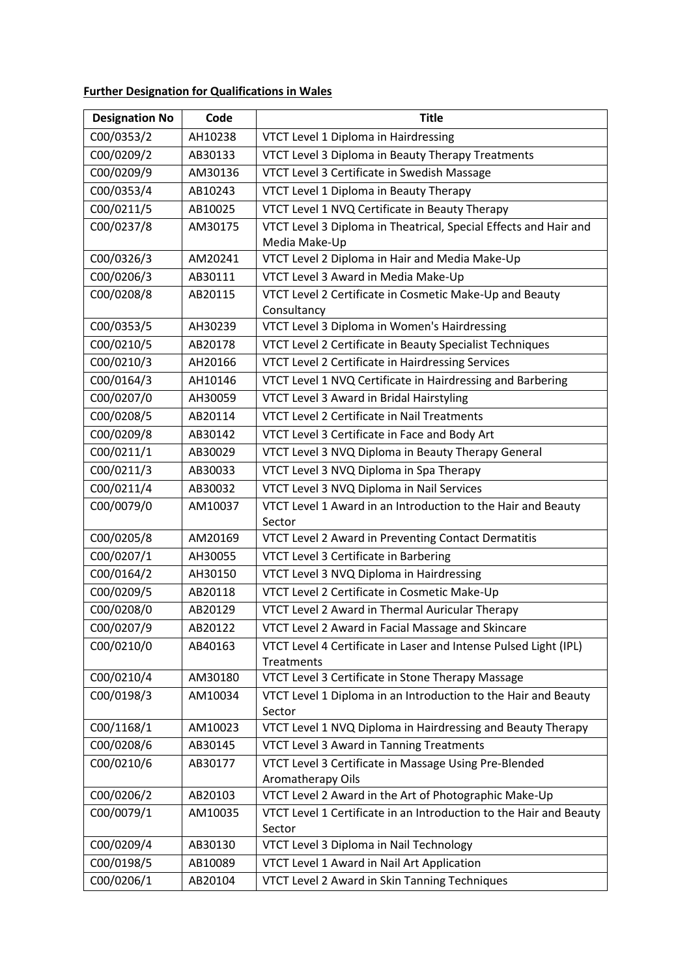## **Further Designation for Qualifications in Wales**

| <b>Designation No</b> | Code    | <b>Title</b>                                                                   |
|-----------------------|---------|--------------------------------------------------------------------------------|
| C00/0353/2            | AH10238 | VTCT Level 1 Diploma in Hairdressing                                           |
| C00/0209/2            | AB30133 | VTCT Level 3 Diploma in Beauty Therapy Treatments                              |
| C00/0209/9            | AM30136 | VTCT Level 3 Certificate in Swedish Massage                                    |
| C00/0353/4            | AB10243 | VTCT Level 1 Diploma in Beauty Therapy                                         |
| C00/0211/5            | AB10025 | VTCT Level 1 NVQ Certificate in Beauty Therapy                                 |
| C00/0237/8            | AM30175 | VTCT Level 3 Diploma in Theatrical, Special Effects and Hair and               |
|                       |         | Media Make-Up                                                                  |
| C00/0326/3            | AM20241 | VTCT Level 2 Diploma in Hair and Media Make-Up                                 |
| C00/0206/3            | AB30111 | VTCT Level 3 Award in Media Make-Up                                            |
| C00/0208/8            | AB20115 | VTCT Level 2 Certificate in Cosmetic Make-Up and Beauty                        |
|                       |         | Consultancy                                                                    |
| C00/0353/5            | AH30239 | VTCT Level 3 Diploma in Women's Hairdressing                                   |
| C00/0210/5            | AB20178 | VTCT Level 2 Certificate in Beauty Specialist Techniques                       |
| C00/0210/3            | AH20166 | VTCT Level 2 Certificate in Hairdressing Services                              |
| C00/0164/3            | AH10146 | VTCT Level 1 NVQ Certificate in Hairdressing and Barbering                     |
| C00/0207/0            | AH30059 | VTCT Level 3 Award in Bridal Hairstyling                                       |
| C00/0208/5            | AB20114 | VTCT Level 2 Certificate in Nail Treatments                                    |
| C00/0209/8            | AB30142 | VTCT Level 3 Certificate in Face and Body Art                                  |
| C00/0211/1            | AB30029 | VTCT Level 3 NVQ Diploma in Beauty Therapy General                             |
| C00/0211/3            | AB30033 | VTCT Level 3 NVQ Diploma in Spa Therapy                                        |
| C00/0211/4            | AB30032 | VTCT Level 3 NVQ Diploma in Nail Services                                      |
| C00/0079/0            | AM10037 | VTCT Level 1 Award in an Introduction to the Hair and Beauty<br>Sector         |
| C00/0205/8            | AM20169 | VTCT Level 2 Award in Preventing Contact Dermatitis                            |
| C00/0207/1            | AH30055 | VTCT Level 3 Certificate in Barbering                                          |
| C00/0164/2            | AH30150 | VTCT Level 3 NVQ Diploma in Hairdressing                                       |
| C00/0209/5            | AB20118 | VTCT Level 2 Certificate in Cosmetic Make-Up                                   |
| C00/0208/0            | AB20129 | VTCT Level 2 Award in Thermal Auricular Therapy                                |
| C00/0207/9            | AB20122 | VTCT Level 2 Award in Facial Massage and Skincare                              |
| C00/0210/0            | AB40163 | VTCT Level 4 Certificate in Laser and Intense Pulsed Light (IPL)<br>Treatments |
| C00/0210/4            | AM30180 | VTCT Level 3 Certificate in Stone Therapy Massage                              |
| C00/0198/3            | AM10034 | VTCT Level 1 Diploma in an Introduction to the Hair and Beauty<br>Sector       |
| C00/1168/1            | AM10023 | VTCT Level 1 NVQ Diploma in Hairdressing and Beauty Therapy                    |
| C00/0208/6            | AB30145 | VTCT Level 3 Award in Tanning Treatments                                       |
| C00/0210/6            | AB30177 | VTCT Level 3 Certificate in Massage Using Pre-Blended<br>Aromatherapy Oils     |
| C00/0206/2            | AB20103 | VTCT Level 2 Award in the Art of Photographic Make-Up                          |
| C00/0079/1            | AM10035 | VTCT Level 1 Certificate in an Introduction to the Hair and Beauty<br>Sector   |
| C00/0209/4            | AB30130 | VTCT Level 3 Diploma in Nail Technology                                        |
| C00/0198/5            | AB10089 | VTCT Level 1 Award in Nail Art Application                                     |
| C00/0206/1            | AB20104 | VTCT Level 2 Award in Skin Tanning Techniques                                  |